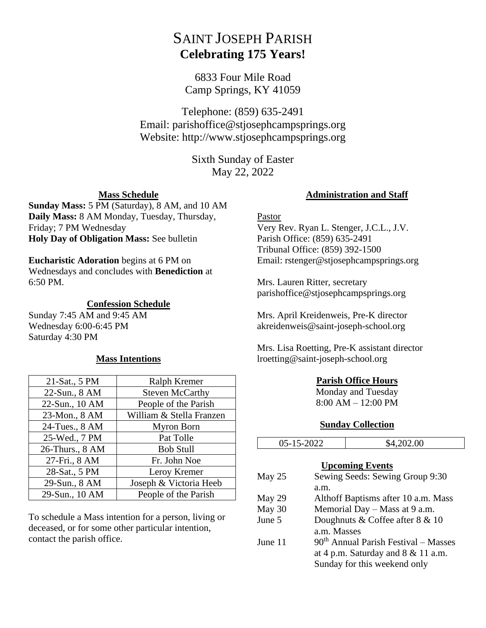# SAINT JOSEPH PARISH **Celebrating 175 Years!**

6833 Four Mile Road Camp Springs, KY 41059

Telephone: (859) 635-2491 Email: parishoffice@stjosephcampsprings.org Website: http://www.stjosephcampsprings.org

> Sixth Sunday of Easter May 22, 2022

## **Mass Schedule**

**Sunday Mass:** 5 PM (Saturday), 8 AM, and 10 AM **Daily Mass:** 8 AM Monday, Tuesday, Thursday, Friday; 7 PM Wednesday **Holy Day of Obligation Mass:** See bulletin

#### **Eucharistic Adoration** begins at 6 PM on

Wednesdays and concludes with **Benediction** at 6:50 PM.

#### **Confession Schedule**

Sunday 7:45 AM and 9:45 AM Wednesday 6:00-6:45 PM Saturday 4:30 PM

## **Mass Intentions**

| 21-Sat., 5 PM   | Ralph Kremer             |
|-----------------|--------------------------|
| 22-Sun., 8 AM   | <b>Steven McCarthy</b>   |
| 22-Sun., 10 AM  | People of the Parish     |
| 23-Mon., 8 AM   | William & Stella Franzen |
| 24-Tues., 8 AM  | Myron Born               |
| 25-Wed., 7 PM   | Pat Tolle                |
| 26-Thurs., 8 AM | <b>Bob Stull</b>         |
| 27-Fri., 8 AM   | Fr. John Noe             |
| 28-Sat., 5 PM   | Leroy Kremer             |
| 29-Sun., 8 AM   | Joseph & Victoria Heeb   |
| 29-Sun., 10 AM  | People of the Parish     |

To schedule a Mass intention for a person, living or deceased, or for some other particular intention, contact the parish office.

#### **Administration and Staff**

## Pastor

Very Rev. Ryan L. Stenger, J.C.L., J.V. Parish Office: (859) 635-2491 Tribunal Office: (859) 392-1500 Email: rstenger@stjosephcampsprings.org

Mrs. Lauren Ritter, secretary parishoffice@stjosephcampsprings.org

Mrs. April Kreidenweis, Pre-K director akreidenweis@saint-joseph-school.org

Mrs. Lisa Roetting, Pre-K assistant director lroetting@saint-joseph-school.org

## **Parish Office Hours**

Monday and Tuesday 8:00 AM – 12:00 PM

#### **Sunday Collection**

| Sewing Seeds: Sewing Group 9:30     |
|-------------------------------------|
| Althoff Baptisms after 10 a.m. Mass |
|                                     |

| Memorial Day – Mass at 9 a.m.          |
|----------------------------------------|
| Doughnuts & Coffee after $8 \& 10$     |
| a.m. Masses                            |
| $90th$ Annual Parish Festival – Masses |
|                                        |

at 4 p.m. Saturday and  $8 \& 11$  a.m. Sunday for this weekend only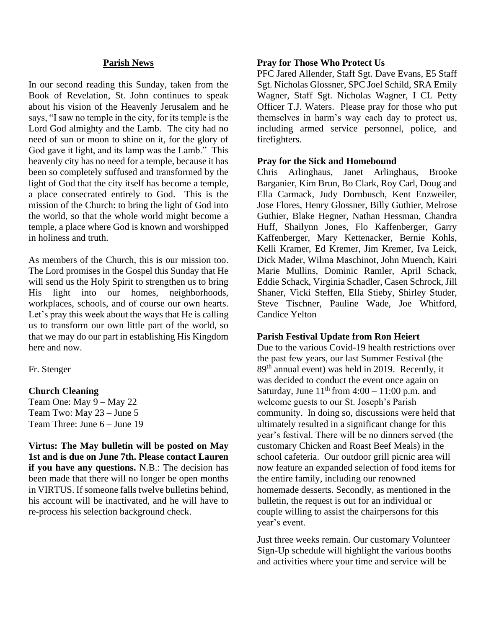#### **Parish News**

In our second reading this Sunday, taken from the Book of Revelation, St. John continues to speak about his vision of the Heavenly Jerusalem and he says, "I saw no temple in the city, for its temple is the Lord God almighty and the Lamb. The city had no need of sun or moon to shine on it, for the glory of God gave it light, and its lamp was the Lamb." This heavenly city has no need for a temple, because it has been so completely suffused and transformed by the light of God that the city itself has become a temple, a place consecrated entirely to God. This is the mission of the Church: to bring the light of God into the world, so that the whole world might become a temple, a place where God is known and worshipped in holiness and truth.

As members of the Church, this is our mission too. The Lord promises in the Gospel this Sunday that He will send us the Holy Spirit to strengthen us to bring His light into our homes, neighborhoods, workplaces, schools, and of course our own hearts. Let's pray this week about the ways that He is calling us to transform our own little part of the world, so that we may do our part in establishing His Kingdom here and now.

Fr. Stenger

#### **Church Cleaning**

Team One: May 9 – May 22 Team Two: May 23 – June 5 Team Three: June 6 – June 19

**Virtus: The May bulletin will be posted on May 1st and is due on June 7th. Please contact Lauren if you have any questions.** N.B.: The decision has been made that there will no longer be open months in VIRTUS. If someone falls twelve bulletins behind, his account will be inactivated, and he will have to re-process his selection background check.

#### **Pray for Those Who Protect Us**

PFC Jared Allender, Staff Sgt. Dave Evans, E5 Staff Sgt. Nicholas Glossner, SPC Joel Schild, SRA Emily Wagner, Staff Sgt. Nicholas Wagner, I CL Petty Officer T.J. Waters. Please pray for those who put themselves in harm's way each day to protect us, including armed service personnel, police, and firefighters.

#### **Pray for the Sick and Homebound**

Chris Arlinghaus, Janet Arlinghaus, Brooke Barganier, Kim Brun, Bo Clark, Roy Carl, Doug and Ella Carmack, Judy Dornbusch, Kent Enzweiler, Jose Flores, Henry Glossner, Billy Guthier, Melrose Guthier, Blake Hegner, Nathan Hessman, Chandra Huff, Shailynn Jones, Flo Kaffenberger, Garry Kaffenberger, Mary Kettenacker, Bernie Kohls, Kelli Kramer, Ed Kremer, Jim Kremer, Iva Leick, Dick Mader, Wilma Maschinot, John Muench, Kairi Marie Mullins, Dominic Ramler, April Schack, Eddie Schack, Virginia Schadler, Casen Schrock, Jill Shaner, Vicki Steffen, Ella Stieby, Shirley Studer, Steve Tischner, Pauline Wade, Joe Whitford, Candice Yelton

#### **Parish Festival Update from Ron Heiert**

Due to the various Covid-19 health restrictions over the past few years, our last Summer Festival (the 89th annual event) was held in 2019. Recently, it was decided to conduct the event once again on Saturday, June  $11<sup>th</sup>$  from  $4:00 - 11:00$  p.m. and welcome guests to our St. Joseph's Parish community. In doing so, discussions were held that ultimately resulted in a significant change for this year's festival. There will be no dinners served (the customary Chicken and Roast Beef Meals) in the school cafeteria. Our outdoor grill picnic area will now feature an expanded selection of food items for the entire family, including our renowned homemade desserts. Secondly, as mentioned in the bulletin, the request is out for an individual or couple willing to assist the chairpersons for this year's event.

Just three weeks remain. Our customary Volunteer Sign-Up schedule will highlight the various booths and activities where your time and service will be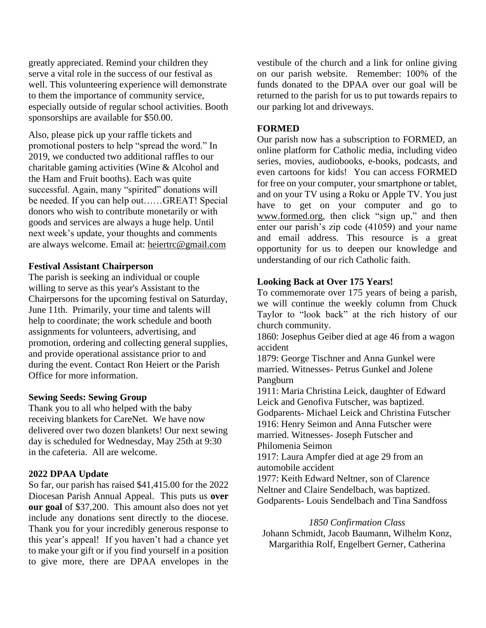greatly appreciated. Remind your children they serve a vital role in the success of our festival as well. This volunteering experience will demonstrate to them the importance of community service, especially outside of regular school activities. Booth sponsorships are available for \$50.00.

Also, please pick up your raffle tickets and promotional posters to help "spread the word." In 2019, we conducted two additional raffles to our charitable gaming activities (Wine & Alcohol and the Ham and Fruit booths). Each was quite successful. Again, many "spirited" donations will be needed. If you can help out……GREAT! Special donors who wish to contribute monetarily or with goods and services are always a huge help. Until next week's update, your thoughts and comments are always welcome. Email at: [heiertrc@gmail.com](mailto:heiertrc@gmail.com)

## **Festival Assistant Chairperson**

The parish is seeking an individual or couple willing to serve as this year's Assistant to the Chairpersons for the upcoming festival on Saturday, June 11th. Primarily, your time and talents will help to coordinate; the work schedule and booth assignments for volunteers, advertising, and promotion, ordering and collecting general supplies, and provide operational assistance prior to and during the event. Contact Ron Heiert or the Parish Office for more information.

## **Sewing Seeds: Sewing Group**

Thank you to all who helped with the baby receiving blankets for CareNet. We have now delivered over two dozen blankets! Our next sewing day is scheduled for Wednesday, May 25th at 9:30 in the cafeteria. All are welcome.

## **2022 DPAA Update**

So far, our parish has raised \$41,415.00 for the 2022 Diocesan Parish Annual Appeal. This puts us **over our goal** of \$37,200. This amount also does not yet include any donations sent directly to the diocese. Thank you for your incredibly generous response to this year's appeal! If you haven't had a chance yet to make your gift or if you find yourself in a position to give more, there are DPAA envelopes in the

vestibule of the church and a link for online giving on our parish website. Remember: 100% of the funds donated to the DPAA over our goal will be returned to the parish for us to put towards repairs to our parking lot and driveways.

## **FORMED**

Our parish now has a subscription to FORMED, an online platform for Catholic media, including video series, movies, audiobooks, e-books, podcasts, and even cartoons for kids! You can access FORMED for free on your computer, your smartphone or tablet, and on your TV using a Roku or Apple TV. You just have to get on your computer and go to [www.formed.](http://www.formed/)org, then click "sign up," and then enter our parish's zip code (41059) and your name and email address. This resource is a great opportunity for us to deepen our knowledge and understanding of our rich Catholic faith.

# **Looking Back at Over 175 Years!**

To commemorate over 175 years of being a parish, we will continue the weekly column from Chuck Taylor to "look back" at the rich history of our church community.

1860: Josephus Geiber died at age 46 from a wagon accident

1879: George Tischner and Anna Gunkel were married. Witnesses- Petrus Gunkel and Jolene Pangburn

1911: Maria Christina Leick, daughter of Edward Leick and Genofiva Futscher, was baptized. Godparents- Michael Leick and Christina Futscher 1916: Henry Seimon and Anna Futscher were married. Witnesses- Joseph Futscher and Philomenia Seimon

1917: Laura Ampfer died at age 29 from an automobile accident

1977: Keith Edward Neltner, son of Clarence Neltner and Claire Sendelbach, was baptized. Godparents- Louis Sendelbach and Tina Sandfoss

## *1850 Confirmation Class*

Johann Schmidt, Jacob Baumann, Wilhelm Konz, Margarithia Rolf, Engelbert Gerner, Catherina